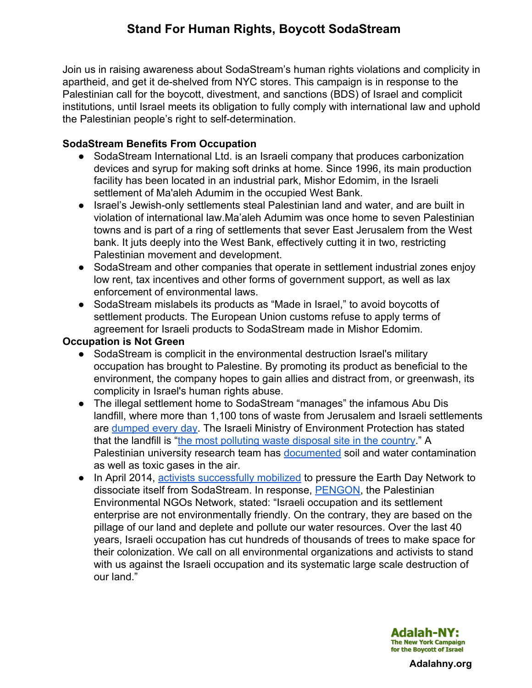Join us in raising awareness about SodaStream's human rights violations and complicity in apartheid, and get it de-shelved from NYC stores. This campaign is in response to the Palestinian call for the boycott, divestment, and sanctions (BDS) of Israel and complicit institutions, until Israel meets its obligation to fully comply with international law and uphold the Palestinian people's right to self-determination.

## **SodaStream Benefits From Occupation**

- SodaStream International Ltd. is an Israeli company that produces carbonization devices and syrup for making soft drinks at home. Since 1996, its main production facility has been located in an industrial park, Mishor Edomim, in the Israeli settlement of Ma'aleh Adumim in the occupied West Bank.
- Israel's Jewish-only settlements steal Palestinian land and water, and are built in violation of international law.Ma'aleh Adumim was once home to seven Palestinian towns and is part of a ring of settlements that sever East Jerusalem from the West bank. It juts deeply into the West Bank, effectively cutting it in two, restricting Palestinian movement and development.
- SodaStream and other companies that operate in settlement industrial zones enjoy low rent, tax incentives and other forms of government support, as well as lax enforcement of environmental laws.
- SodaStream mislabels its products as "Made in Israel," to avoid boycotts of settlement products. The European Union customs refuse to apply terms of agreement for Israeli products to SodaStream made in Mishor Edomim.

### **Occupation is Not Green**

- SodaStream is complicit in the environmental destruction Israel's military occupation has brought to Palestine. By promoting its product as beneficial to the environment, the company hopes to gain allies and distract from, or greenwash, its complicity in Israel's human rights abuse.
- The illegal settlement home to SodaStream "manages" the infamous Abu Dis landfill, where more than 1,100 tons of waste from Jerusalem and Israeli settlements ar[e](http://www.google.com/url?q=http%3A%2F%2Fwww.parkedom.co.il%2Fthe-economic-development-company%2520&sa=D&sntz=1&usg=AFQjCNEGzVwbodOWfm9IeVYTUj-PoHTptA) [dumped](http://www.google.com/url?q=http%3A%2F%2Fwww.parkedom.co.il%2Fthe-economic-development-company%2520&sa=D&sntz=1&usg=AFQjCNEGzVwbodOWfm9IeVYTUj-PoHTptA) every day. The Israeli Ministry of Environment Protection has stated that the landfill is "the most [polluting](http://www.google.com/url?q=http%3A%2F%2Fwww.sviva.gov.il%2FEnglish%2FResourcesandServices%2FNewsAndEvents%2FNewsAndMessageDover%2FPages%2F2013%2F9_Sept%2FPeretzLaysCornerstoneOfJerusalemWasteRecyclingFacility.aspx&sa=D&sntz=1&usg=AFQjCNHJBHTsBz_b-HejI3_Gja-XHA-XRg) waste disposal site in the country." A Palestinian university research team ha[s](http://www.google.com/url?q=http%3A%2F%2Fwww.maannews.net%2Feng%2FViewDetails.aspx%3FID%3D573286&sa=D&sntz=1&usg=AFQjCNFoIGT5ErLI1iJAgY56u99Yp8Y_KA) [documented](http://www.google.com/url?q=http%3A%2F%2Fwww.maannews.net%2Feng%2FViewDetails.aspx%3FID%3D573286&sa=D&sntz=1&usg=AFQjCNFoIGT5ErLI1iJAgY56u99Yp8Y_KA) soil and water contamination as well as toxic gases in the air.
- In April 2014, activists [successfully](http://www.google.com/url?q=http%3A%2F%2Fsocialistworker.org%2F2014%2F04%2F23%2Fsodastreams-failed-greenwash&sa=D&sntz=1&usg=AFQjCNHedSmGKus55Kj80raxE9yBuvhhmg) mobilized to pressure the Earth Day Network to dissociate itself from SodaStream. In response, [PENGON,](http://www.google.com/url?q=http%3A%2F%2Fwww.pengon.org%2F&sa=D&sntz=1&usg=AFQjCNHW4eo80Qhf6J-Smsv_t0I4Hyj8YA) the Palestinian Environmental NGOs Network, stated: "Israeli occupation and its settlement enterprise are not environmentally friendly. On the contrary, they are based on the pillage of our land and deplete and pollute our water resources. Over the last 40 years, Israeli occupation has cut hundreds of thousands of trees to make space for their colonization. We call on all environmental organizations and activists to stand with us against the Israeli occupation and its systematic large scale destruction of our land."



**Adalahny.org**